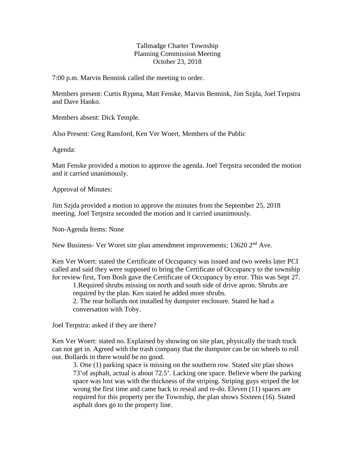## Tallmadge Charter Township Planning Commission Meeting October 23, 2018

7:00 p.m. Marvin Bennink called the meeting to order.

Members present: Curtis Rypma, Matt Fenske, Marvin Bennink, Jim Szjda, Joel Terpstra and Dave Hanko.

Members absent: Dick Temple.

Also Present: Greg Ransford, Ken Ver Woert, Members of the Public

Agenda:

Matt Fenske provided a motion to approve the agenda. Joel Terpstra seconded the motion and it carried unanimously.

Approval of Minutes:

Jim Szjda provided a motion to approve the minutes from the September 25, 2018 meeting. Joel Terpstra seconded the motion and it carried unanimously.

Non-Agenda Items: None

New Business- Ver Woret site plan amendment improvements; 13620 2<sup>nd</sup> Ave.

Ken Ver Woert: stated the Certificate of Occupancy was issued and two weeks later PCI called and said they were supposed to bring the Certificate of Occupancy to the township for review first, Tom Bosh gave the Certificate of Occupancy by error. This was Sept 27.

1.Required shrubs missing on north and south side of drive apron. Shrubs are required by the plan. Ken stated he added more shrubs.

2. The rear bollards not installed by dumpster enclosure. Stated he had a conversation with Toby.

Joel Terpstra: asked if they are there?

Ken Ver Woert: stated no. Explained by showing on site plan, physically the trash truck can not get in. Agreed with the trash company that the dumpster can be on wheels to roll out. Bollards in there would be no good.

3. One (1) parking space is missing on the southern row. Stated site plan shows 73'of asphalt, actual is about 72.5'. Lacking one space. Believe where the parking space was lost was with the thickness of the striping. Striping guys striped the lot wrong the first time and came back to reseal and re-do. Eleven (11) spaces are required for this property per the Township, the plan shows Sixteen (16). Stated asphalt does go to the property line.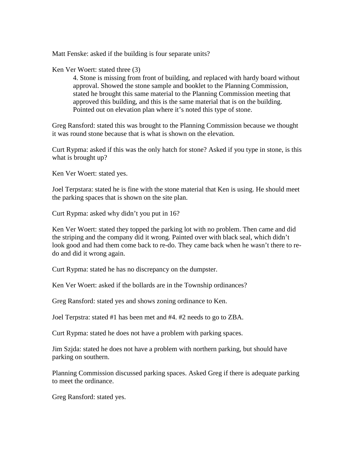Matt Fenske: asked if the building is four separate units?

## Ken Ver Woert: stated three (3)

4. Stone is missing from front of building, and replaced with hardy board without approval. Showed the stone sample and booklet to the Planning Commission, stated he brought this same material to the Planning Commission meeting that approved this building, and this is the same material that is on the building. Pointed out on elevation plan where it's noted this type of stone.

Greg Ransford: stated this was brought to the Planning Commission because we thought it was round stone because that is what is shown on the elevation.

Curt Rypma: asked if this was the only hatch for stone? Asked if you type in stone, is this what is brought up?

Ken Ver Woert: stated yes.

Joel Terpstara: stated he is fine with the stone material that Ken is using. He should meet the parking spaces that is shown on the site plan.

Curt Rypma: asked why didn't you put in 16?

Ken Ver Woert: stated they topped the parking lot with no problem. Then came and did the striping and the company did it wrong. Painted over with black seal, which didn't look good and had them come back to re-do. They came back when he wasn't there to redo and did it wrong again.

Curt Rypma: stated he has no discrepancy on the dumpster.

Ken Ver Woert: asked if the bollards are in the Township ordinances?

Greg Ransford: stated yes and shows zoning ordinance to Ken.

Joel Terpstra: stated #1 has been met and #4. #2 needs to go to ZBA.

Curt Rypma: stated he does not have a problem with parking spaces.

Jim Szjda: stated he does not have a problem with northern parking, but should have parking on southern.

Planning Commission discussed parking spaces. Asked Greg if there is adequate parking to meet the ordinance.

Greg Ransford: stated yes.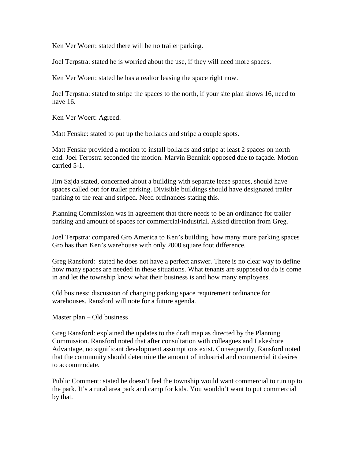Ken Ver Woert: stated there will be no trailer parking.

Joel Terpstra: stated he is worried about the use, if they will need more spaces.

Ken Ver Woert: stated he has a realtor leasing the space right now.

Joel Terpstra: stated to stripe the spaces to the north, if your site plan shows 16, need to have 16.

Ken Ver Woert: Agreed.

Matt Fenske: stated to put up the bollards and stripe a couple spots.

Matt Fenske provided a motion to install bollards and stripe at least 2 spaces on north end. Joel Terpstra seconded the motion. Marvin Bennink opposed due to façade. Motion carried 5-1.

Jim Szjda stated, concerned about a building with separate lease spaces, should have spaces called out for trailer parking. Divisible buildings should have designated trailer parking to the rear and striped. Need ordinances stating this.

Planning Commission was in agreement that there needs to be an ordinance for trailer parking and amount of spaces for commercial/industrial. Asked direction from Greg.

Joel Terpstra: compared Gro America to Ken's building, how many more parking spaces Gro has than Ken's warehouse with only 2000 square foot difference.

Greg Ransford: stated he does not have a perfect answer. There is no clear way to define how many spaces are needed in these situations. What tenants are supposed to do is come in and let the township know what their business is and how many employees.

Old business: discussion of changing parking space requirement ordinance for warehouses. Ransford will note for a future agenda.

Master plan – Old business

Greg Ransford: explained the updates to the draft map as directed by the Planning Commission. Ransford noted that after consultation with colleagues and Lakeshore Advantage, no significant development assumptions exist. Consequently, Ransford noted that the community should determine the amount of industrial and commercial it desires to accommodate.

Public Comment: stated he doesn't feel the township would want commercial to run up to the park. It's a rural area park and camp for kids. You wouldn't want to put commercial by that.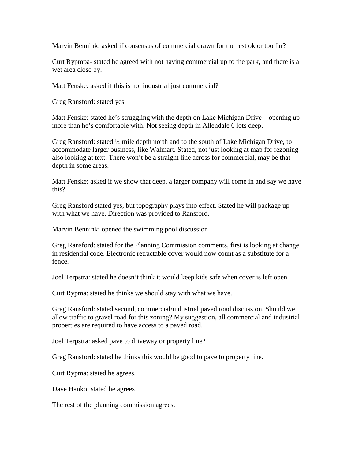Marvin Bennink: asked if consensus of commercial drawn for the rest ok or too far?

Curt Rypmpa- stated he agreed with not having commercial up to the park, and there is a wet area close by.

Matt Fenske: asked if this is not industrial just commercial?

Greg Ransford: stated yes.

Matt Fenske: stated he's struggling with the depth on Lake Michigan Drive – opening up more than he's comfortable with. Not seeing depth in Allendale 6 lots deep.

Greg Ransford: stated ¼ mile depth north and to the south of Lake Michigan Drive, to accommodate larger business, like Walmart. Stated, not just looking at map for rezoning also looking at text. There won't be a straight line across for commercial, may be that depth in some areas.

Matt Fenske: asked if we show that deep, a larger company will come in and say we have this?

Greg Ransford stated yes, but topography plays into effect. Stated he will package up with what we have. Direction was provided to Ransford.

Marvin Bennink: opened the swimming pool discussion

Greg Ransford: stated for the Planning Commission comments, first is looking at change in residential code. Electronic retractable cover would now count as a substitute for a fence.

Joel Terpstra: stated he doesn't think it would keep kids safe when cover is left open.

Curt Rypma: stated he thinks we should stay with what we have.

Greg Ransford: stated second, commercial/industrial paved road discussion. Should we allow traffic to gravel road for this zoning? My suggestion, all commercial and industrial properties are required to have access to a paved road.

Joel Terpstra: asked pave to driveway or property line?

Greg Ransford: stated he thinks this would be good to pave to property line.

Curt Rypma: stated he agrees.

Dave Hanko: stated he agrees

The rest of the planning commission agrees.